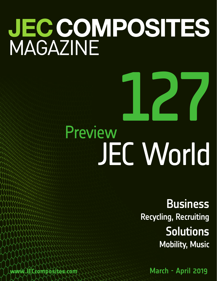# **JEC COMPOSITES**<br>MAGAZINE

## 127 Preview JEC World

**Business** Recycling, Recruiting **Solutions** Mobility, Music

www.JECcomposites.com March - April 2019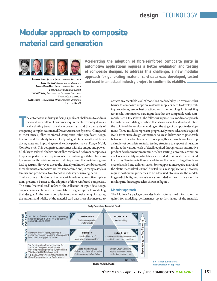### **Modular approach to composite material card generation**



**Johannes Klug,** *Senior Development Engineer* **Adam Halsband,** *NA Market Manager* **Sandra Dehn-Neef,** *Development Engineer Forward Engineering GmbH* **Tobias Potyra,** *Automotive Business Director Zoltek Corporation* **Lars Moser,** *Automotive Development Manager Hexion GmbH*

**automotive applications requires a better evaluation and testing of composite designs. To address this challenge, a new modular approach for generating material card data was developed, tested and used in an actual industry project to confirm its viability.**

**Accelerating the adoption of fibre-reinforced composite parts in** 

**T** he automotive industry is facing significant challenges to address new and very different customer requirements driven by dramatically shifting trends in vehicle powertrain and the demands of integrating complex Automated Driver Assistance Systems. Compared to most metals, fibre reinforced composites offer significant design freedom and the ability to seamlessly integrate functionality while reducing mass and improving overall vehicle performance (Range, NVH, Comfort, etc). This design freedom comes with the unique and powerful ability to tailor the behaviour of fibre reinforced polymer composites to specific performance requirements by combining suitable fibre reinforcements with matrix resins and defining a layup that matches a given load spectrum. However, due to the virtually unlimited combinations of these elements, composites are less standardized and, in many cases, less familiar and predictable to automotive industry design engineers.

The lack of available standardized material cards for automotive applications presents a barrier to the adoption of fibre-reinforced composites. The term "material card" refers to the collection of input data design engineers must enter into their simulation programs prior to modelling their designs. As the level of complexity of a composite design increases, the amount and fidelity of the material card data must also increase to

achieve an acceptable level of modelling predictability. To overcome this barrier to composite adoption, materials suppliers need to develop testing procedures, a set of best practices, and a methodology for translating test results into material card input data that are compatible with commonly used FEA solvers. The following represents a modular approach for material card data generation that allows users to extend and refine the validity of the results depending on the stage of composite development. Three modules represent progressively more advanced stages of R&D from static design estimations to crash behaviour to post-crash behaviour. The objective when developing this approach was to set up a simple yet complete material testing structure to support simulation results at the various levels of detail required throughout an automotive product development programme. When starting a project, a common challenge is identifying which tests are needed to simulate the required load cases. To eliminate these uncertainties, the potential target load cases are classified into different levels. Some applications require analysis of the elastic material values until first failure. Crash applications, however, require post-failure properties to be addressed. To increase the modelling predictability, test module levels are added to the classification. The resulting modular approach is shown in Figure 1.

#### **Modular approach**

The Module 1a package provides basic material card information required for modelling performance up to first failure of the material.



N° 127 March - April 2019 / **jec composites magazine 151**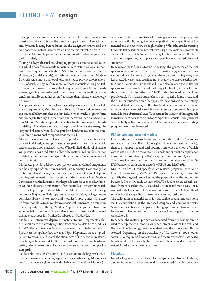These properties can be generated by standard tests for tension, compression and shear loads. For the most basic applications, where stiffness and dynamic loading before failure are the design constraints and the component or system is not factored into the overall vehicle crash performance, Module 1a provides the minimum information required for basic part design.

Testing for hygrothermal and damping properties can be added as required. The data from Module 1a material card testing is also an important input required for vibration/NVH (noise, vibration, harshness) simulation (modal analysis) and vehicle dynamics simulation. Module 1b, crush screening, is a series of tests designed to provide a swift assessment of crash energy performance. For those materials where post-failure crash performance is important, a quick and cost-effective crush screening evaluation can be performed to evaluate combinations of materials (resins, fibres, additives, etc.) to assess their relative crash energy behaviour.

For applications where understanding crash performance post first failure is a requirement, Modules 2a and 2b apply. These modules focus on the material behaviour after the first failure when cracks begin to form and propagate through the material with increasing load and deformation. Module 2a testing supports initial structural component level crash modelling. To achieve a more accurate picture of post-failure energy absorption behaviour, Module 2b, a part-level hardware test of more complex three-dimensional components, is required.

Module 2a is comprised of several coupon-level hardware tests that provide initial insight into post-first failure performance based on crack energy release upon crack formation. While limited, this level of testing will provide a basic indication of how the material will perform under post-failure conditions. Example tests are compact compression and compact tension.

Module 2b provides additional component testing results. Components can be any type of three-dimensional part geometry. Commonly, hat profiles or closed rectangular profiles in any type of 3-point/4-point bending test are used under quasi-static and/or dynamic load. Module 2a tests a series of failure modes with specific tests for each mode, whereas Module 2b tests a combination of failure modes. This combined failure is the key to improved simulation correlation between sample testing and modelling results. This supports accurate modelling of larger, more complex subsystems (e.g. front-end modules/impact zones). The step up from Module 2a to 2b results in a considerable increase in simulation forecast quality. Even though Module 2b provides expanded characterization of failure, coupon tests are still necessary to formulate the basis of the material properties. Module 2b is based on Module 2a.

Module 3a – strain rate-dependent material testing – represents a further addition to the already high fidelity of material data from Modules 1 and 2. The anisotropic nature of FRP makes strain rate testing critical. Specific test setups like drop tower and Split-Hopkinson bar are typically used to measure and match the strain rates of the particular material, enriching material card data. Both material model setup and hardware testing take place in close collaboration to ensure the simulation prediction quality.

Module 3b – axial crush testing – is focused on modelling crash structure performance seen in high-speed vehicle crash testing. Modules 2a and 2b are not enough to model this behaviour. Therefore, Module 3 is

comprised of further drop tower tests using generic or complex geometries to specifically recognize the energy dissipation capabilities of the material and the geometry through crushing. While the crush screening (Module 1b) describes the general suitability of the material, Module 3b captures the material behaviour at energy levels common to full vehicle crash, and, depending on application if possible, even realistic levels of strain rate.

In advanced post-failure Module 3b testing, the geometry of the test specimen has a considerable influence on crush energy release. Part curvature and overall complexity generally increase the crushing energy release rate. However, axial crushing not only refers to closed-section profiles under longitudinal impact load but can also be observed in flat test specimens. For example, the side pole impact into a CFRP vehicle floor shows similar crushing effects to CFRP crash tubes used in frontal impact. Module 3b material cards refer to a very specific failure mode, and the engineer must determine the applicable locations and parts carefully. A good default knowledge of the structural behaviour and cross influences in full vehicle crash simulations is necessary to successfully implement Module 3b material data. To ascertain the validity of this approach to material card data generation for composite materials – and gauge its compatibility with commonly-used FEA solvers – the following testing programme was implemented.

#### **FEA solvers and material models**

Due to its broad use across the automotive industry, LS-DYNA was chosen as the base solver. Even within a given simulation software (solver), there are multiple material card options from which to choose. Which card to use depends on the customer's needs and simulation experience as well as the simulation type that is required. For this project, and to be able to use the results for the most common material models, two LS-DYNA material cards were selected: MAT 58 and MAT 261.

MAT 58 and MAT 261 specify which material properties need to be tested. In many cases, ASTM and ISO specify the testing methods to quantify the targeted properties and the preparation of the coupons to be tested. For the Module 2a level of MAT 58, all tests are directly derived from or based on ASTM standards. For material model MAT 261, material tests like compact tension/compression do not follow official standards and are specific to the respective testing institute.

The calibration of material cards for this testing programme was done via FEA simulation of the proposed coupon and component tests. Simulation results were compared to test graphs, and certain influence factors were changed within the material card until a good correlation was achieved.

In general, the material properties generated from this testing can be used to setup material models for other solvers. Most of the tests and the overall methodology are independent from the simulation software selected. Depending on the complexity of the material model, other solvers may require additional testing, and the transfer of test data has to be validated. The basic calibration process to obtain a valid and accurate material card is the same for all solvers.

#### **Materials**

In order to generate data relevant to multiple automotive applications, a state-of-the-art material combination was selected. The Hexion epoxy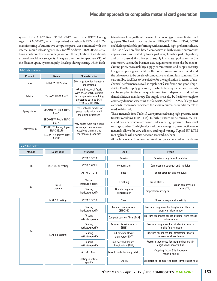system EPIKOTE™ Resin TRAC 06170 and EPIKURE™ Curing Agent TRAC 06170, which is optimized for fast-cycle RTM and LCM manufacturing of automotive composite parts, was combined with the internal mould release agent HELOXY™ Additive TRAC 06805, enabling a high number of mouldings without the application of additional, external mould release agents. The glass transition temperature  $(T_{\rm g}^{\rm t})$  of the Hexion epoxy system rapidly develops during curing, which facili-

| <b>Tab.1: Materials used</b> |                                            |                                                                                                                                  |  |  |  |  |  |
|------------------------------|--------------------------------------------|----------------------------------------------------------------------------------------------------------------------------------|--|--|--|--|--|
| Product                      | Name                                       | <b>Characteristics</b>                                                                                                           |  |  |  |  |  |
| Fibre                        | Zoltek™ PX35 fibre                         | 50k large tow for industrial<br>applications                                                                                     |  |  |  |  |  |
| <b>Fabrics</b>               | Zoltek™ UD300 NCF                          | 0° unidirectional fabric<br>with tricot stitch suitable<br>for compression moulding<br>processes such as LCM,<br>RTM, and HP RTM |  |  |  |  |  |
| Epoxy binder                 | EPIKOTE™ Resin TRAC<br>06720               | Cross-linkable binder for<br>parts made with liquid<br>moulding processes                                                        |  |  |  |  |  |
| Epoxy system                 | EPIKOTE™ Resin TRAC<br>06170               | Very short cycle time, long                                                                                                      |  |  |  |  |  |
|                              | EPIKURE™ Curing Agent<br><b>TRAC 06170</b> | resin injection window,<br>excellent thermal and                                                                                 |  |  |  |  |  |
|                              | HELOXY™ Additive TRAC<br>06805             | mechanical properties                                                                                                            |  |  |  |  |  |

tates demoulding without the need for cooling jigs or complicated part grippers. The Hexion reactive binder EPIKOTE<sup>TM</sup> Resin TRAC 06720 enabled reproducible preforming with extremely high preform stiffness. The use of carbon fibre-based composites in high-volume automotive applications is motivated by lower part weight, higher part integration, and part consolidation. For serial supply into mass applications in the automotive sector, the business case requirements must also be met including price, processability, supply commitment, and supply security. Long-term pricing for the life of the entire programme is required, and the price needs to be on a level competitive to aluminium solutions. The carbon fibre itself has to be suitable for the application in terms of mechanical performance as well as capable of fast infusion and good drapeability. Finally, supply guarantee, in which the very same raw materials can be supplied in the same quality from two independent and redundant facilities, is mandatory. The supply must also be flexible enough to cover any demand exceeding the forecasts. Zoltek™ PX35 50k large-tow carbon fibre can meet or exceed the above requirements and is therefore used in this study.

These materials (see Table 1) were processed using high-pressure resin transfer moulding (HP-RTM). In high-pressure RTM mixing, the resin and hardener system are dosed under very high pressure into a small mixing chamber. The high velocity/kinetic energy of the respective resin materials allows for very effective and rapid mixing. Typical HP-RTM mixing heads will operate between 100 and 200 bars.

At the time of injection, computerized pumps accurately dose the chem-

| Tab.2: Test matrix |                     |                                |                                             |                                                                          |                   |
|--------------------|---------------------|--------------------------------|---------------------------------------------|--------------------------------------------------------------------------|-------------------|
| Module             | <b>Description</b>  | <b>Standard</b>                | Load                                        | Result                                                                   |                   |
| 1A                 |                     | <b>ASTM D 3039</b>             | Tension                                     | Tensile strength and modulus                                             |                   |
|                    | Base linear testing | <b>ASTM D 6641</b>             | Compression                                 | Compression strength and modulus                                         |                   |
|                    |                     | <b>ASTM D 7078</b>             | Shear                                       | Shear strength and modulus                                               |                   |
| 1B                 | Crush               | Testing<br>institute-specific  | Crushing                                    | Crush stress                                                             | Crush compression |
|                    | screening           | Testing<br>institute-specific  | Double dogbone<br>compression               | Compression strength                                                     | ratio (CCR)       |
| 2A                 | MAT 58 testing      | <b>ASTM D 3518</b>             | Shear                                       | Shear damage and plasticity                                              |                   |
|                    | MAT 58 testing      | Testing<br>institute-specific  | Compact compression<br>(ENKINK)             | Fracture toughness for longitudinal fibre com-<br>pressive failure mode  |                   |
|                    |                     | Testing<br>institute-specific  | Compact tension fibre (ENA)                 | Fracture toughness for longitudinal fibre tensile<br>failure mode        |                   |
|                    |                     | Testing<br>institute-specific  | Compact tension matrix<br>(ENB)             | Fracture toughness for intralaminar matrix<br>tensile failure mode       |                   |
|                    |                     | Testing<br>institute-specific  | End notched flexure-<br>transverse (ENT)    | Fracture toughness for intralaminar matrix<br>transverse shear failure   |                   |
|                    |                     | Testing<br>institute-specific  | End notched flexure -<br>longitudinal (ENL) | Fracture toughness for intralaminar matrix<br>longitudinal shear failure |                   |
|                    |                     | <b>ASTM D 6671</b>             | Mixed-mode bending (MMB)                    | Coupling factor G% between<br>mode I and II                              |                   |
|                    |                     | Testing institute-<br>specific | Charpy                                      | Validation for compact tension/compression test                          |                   |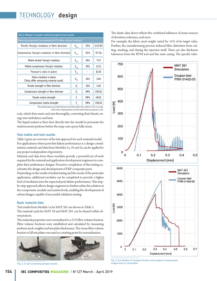| Tab.3: Module 1a elastic material property test results           |                             |            |        |  |  |  |  |
|-------------------------------------------------------------------|-----------------------------|------------|--------|--|--|--|--|
| Material properties [normalized to 51% fibre volume fraction]     |                             |            |        |  |  |  |  |
| Tensile Young's modulus in fibre direction                        | $\mathsf{E}_{\mathsf{11t}}$ | GPa        | 115.83 |  |  |  |  |
| Compressive Young's modulus in fibre direction                    | $\mathsf{E}_{\mathsf{11c}}$ | GPa        | 97.54  |  |  |  |  |
| Matrix tensile Young's modulus                                    | $E_{22t}$                   | GPa        | 7.47   |  |  |  |  |
| Matrix compressive Young's modulus                                | $E_{22c}$                   | GPa        | 6.13   |  |  |  |  |
| Poisson's ratio in plane                                          | $V_{12}$                    |            | 0.30   |  |  |  |  |
| Shear modulus in plane<br>(Tests differ comparing material cards) | $G_{12}$                    | GPa        | 3.04   |  |  |  |  |
| Tensile strength in fibre direction                               | X,                          | GPa        | 1.40   |  |  |  |  |
| Compressive strength in fibre direction                           | X,                          | <b>MPa</b> | 150.01 |  |  |  |  |
| Tensile matrix strength                                           | Y,                          | <b>MPa</b> | 49.61  |  |  |  |  |
| Compressive matrix strength                                       | Y,                          | MPa        | 150.01 |  |  |  |  |

 The information provided herein was believed by the authors to be accurate at the time of preparation and for informative purposes only.

icals, which then meet and mix thoroughly, converting their kinetic energy into turbulence and heat.

The liquid system is then shot directly into the mould to permeate the reinforcement preform before the snap-cure epoxy fully reacts.

#### **Test matrix and test results**

Table 2 gives an overview of the test approach for each material model. For applications where post-first failure performance is a design consideration, material card data from Modules 1a, 1b and 2a can be applied to any project independent of geometry.

Material card data from these modules provide a powerful set of tools required by the material and application development engineers to complete their preliminary designs. Proactive completion of this testing accelerates the design and development of FRP composite parts.

Depending on the results of initial testing and the needs of the particular application, additional modules can be completed to provide a higher level of resolution into the expected post-failure performance. This stepby-step approach allows design engineers to further refine the solution at the component, module and system levels, enabling the development of robust designs capable of successful validation testing.

#### **Basic material data**

Test results from Module 1a for MAT 261 are shown in Table 3. The material cards for MAT 58 and MAT 261 can be shared within client projects.

The material properties were normalized to a 51% fibre volume fraction. Fibre volume fractions were established and calculated by measuring preform stack weights and test plate thicknesses. The mean fibre volume fraction of all test plates was used as a starting point for normalization.



Fig. 2: Crush screening sample results

The elastic data above reflects the combined influence of many sources of deviation, tolerance, and error.

For example, the fabric areal weight varied by ±5% of its target value. Further, the manufacturing process induced fibre distortion from cutting, stacking, and during the injection itself. There are also thickness tolerances from the RTM tool and the resin curing. The specific toler-





Fig. 3: Correlation of compact tension and compact compression: coupon test vs. simulation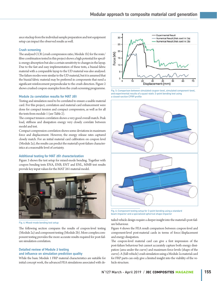ance stackup from the individual sample preparation and test equipment setup can impact the observed results as well.

#### **Crush screening**

The analysed CCR (crush compression ratio; Module 1b) for the resin/ fibre combination tested in this project shows a high potential for specific energy absorption but also a certain sensitivity to changes in the layup. Due to the fast and easy implementation of these tests, a biaxial fabric material with a comparable layup to the UD material was also analysed. The failure modes were similar to the UD material, but it is assumed that the biaxial fabric material may be preferred in components that need a significant reinforcement perpendicular to the crush direction. Figure 2 shows crushed coupon examples from the crush screening programme.

#### **Module 2a correlation results for MAT 261**

Testing and simulation need to be correlated to ensure a usable material card. For this project, correlation and material card enhancement were done for compact tension and compact compression, as well as for all the tests from module 1 (see Table 2).

The compact tension correlation shows a very good overall match. Peak load, stiffness and dissipation energy very closely correlate between model and test.

Compact compression correlation shows some deviations in maximum force and displacement. However, the energy release rates captured closely match. For an initial material card calibration on coupon level (Module 2a), the results can predict the material's post-failure characteristics at a reasonable level of certainty.

#### **Additional testing for MAT 261 characterization**

Figure 3 shows the test setup for mixed-mode bending. Together with coupon bending tests ENA, ENB, ENT and ENL, MMB test results provide key input values for the MAT 261 material model.



Fig. 4: Mixed-mode bending test setup

The following section compares the results of coupon-level testing (Module 2a) and component testing (Module 2b). More complex component testing provides the more accurate results required for post-failure simulation correlation.

#### **Detailed review of Module 2 testing and influence on simulation prediction quality**

While the basic Module 1 FRP material characteristics are suitable for initial concept work, the advanced FEA simulations associated with de-



Fig. 5: Comparison between simulated coupon-level, simulated component-level, and experimental results of a quasi-static 3-point bending test using a closed-section CFRP profile



Fig. 6: Component testing setup for 3-point bending using a standard beam impactor and a specialized spherical shape impactor

tailed vehicle design require a deeper insight into the material's post-failure behaviour.

Figure 4 shows the FEA result comparison between coupon-level and component-level post-material cards in terms of force/displacement and energy dissipation.

The coupon-level material card can give a first impression of the post-failure behaviour but cannot accurately capture both energy dissipation (area under the curve) and maximum force levels (shape of the curve). A (full-vehicle) crash simulation using a Module 2a material card for FRP parts can only give a limited insight into the viability of the vehicle structure.